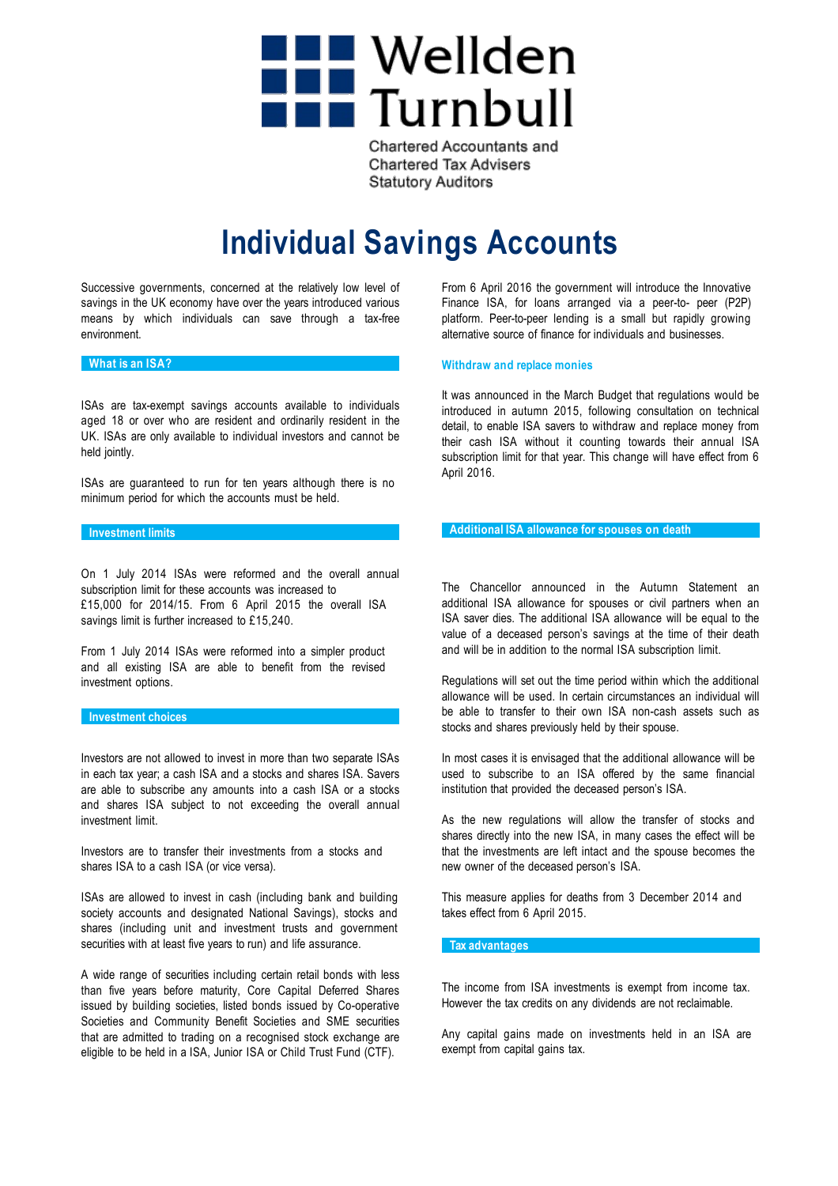

**Chartered Accountants and Chartered Tax Advisers Statutory Auditors** 

# **Individual Savings Accounts**

Successive governments, concerned at the relatively low level of savings in the UK economy have over the years introduced various means by which individuals can save through a tax-free environment.

# **What is an ISA?**

ISAs are tax-exempt savings accounts available to individuals aged 18 or over who are resident and ordinarily resident in the UK. ISAs are only available to individual investors and cannot be held jointly.

ISAs are guaranteed to run for ten years although there is no minimum period for which the accounts must be held.

#### **Investment limits**

On 1 July 2014 ISAs were reformed and the overall annual subscription limit for these accounts was increased to £15,000 for 2014/15. From 6 April 2015 the overall ISA savings limit is further increased to £15,240.

From 1 July 2014 ISAs were reformed into a simpler product and all existing ISA are able to benefit from the revised investment options.

## **Investment choices**

Investors are not allowed to invest in more than two separate ISAs in each tax year; a cash ISA and a stocks and shares ISA. Savers are able to subscribe any amounts into a cash ISA or a stocks and shares ISA subject to not exceeding the overall annual investment limit.

Investors are to transfer their investments from a stocks and shares ISA to a cash ISA (or vice versa).

ISAs are allowed to invest in cash (including bank and building society accounts and designated National Savings), stocks and shares (including unit and investment trusts and government securities with at least five years to run) and life assurance.

A wide range of securities including certain retail bonds with less than five years before maturity, Core Capital Deferred Shares issued by building societies, listed bonds issued by Co-operative Societies and Community Benefit Societies and SME securities that are admitted to trading on a recognised stock exchange are eligible to be held in a ISA, Junior ISA or Child Trust Fund (CTF).

From 6 April 2016 the government will introduce the Innovative Finance ISA, for loans arranged via a peer-to- peer (P2P) platform. Peer-to-peer lending is a small but rapidly growing alternative source of finance for individuals and businesses.

## **Withdraw and replace monies**

It was announced in the March Budget that regulations would be introduced in autumn 2015, following consultation on technical detail, to enable ISA savers to withdraw and replace money from their cash ISA without it counting towards their annual ISA subscription limit for that year. This change will have effect from 6 April 2016.

## **Additional ISA allowance for spouses on death**

The Chancellor announced in the Autumn Statement an additional ISA allowance for spouses or civil partners when an ISA saver dies. The additional ISA allowance will be equal to the value of a deceased person's savings at the time of their death and will be in addition to the normal ISA subscription limit.

Regulations will set out the time period within which the additional allowance will be used. In certain circumstances an individual will be able to transfer to their own ISA non-cash assets such as stocks and shares previously held by their spouse.

In most cases it is envisaged that the additional allowance will be used to subscribe to an ISA offered by the same financial institution that provided the deceased person's ISA.

As the new regulations will allow the transfer of stocks and shares directly into the new ISA, in many cases the effect will be that the investments are left intact and the spouse becomes the new owner of the deceased person's ISA.

This measure applies for deaths from 3 December 2014 and takes effect from 6 April 2015.

## **Tax advantages**

The income from ISA investments is exempt from income tax. However the tax credits on any dividends are not reclaimable.

Any capital gains made on investments held in an ISA are exempt from capital gains tax.